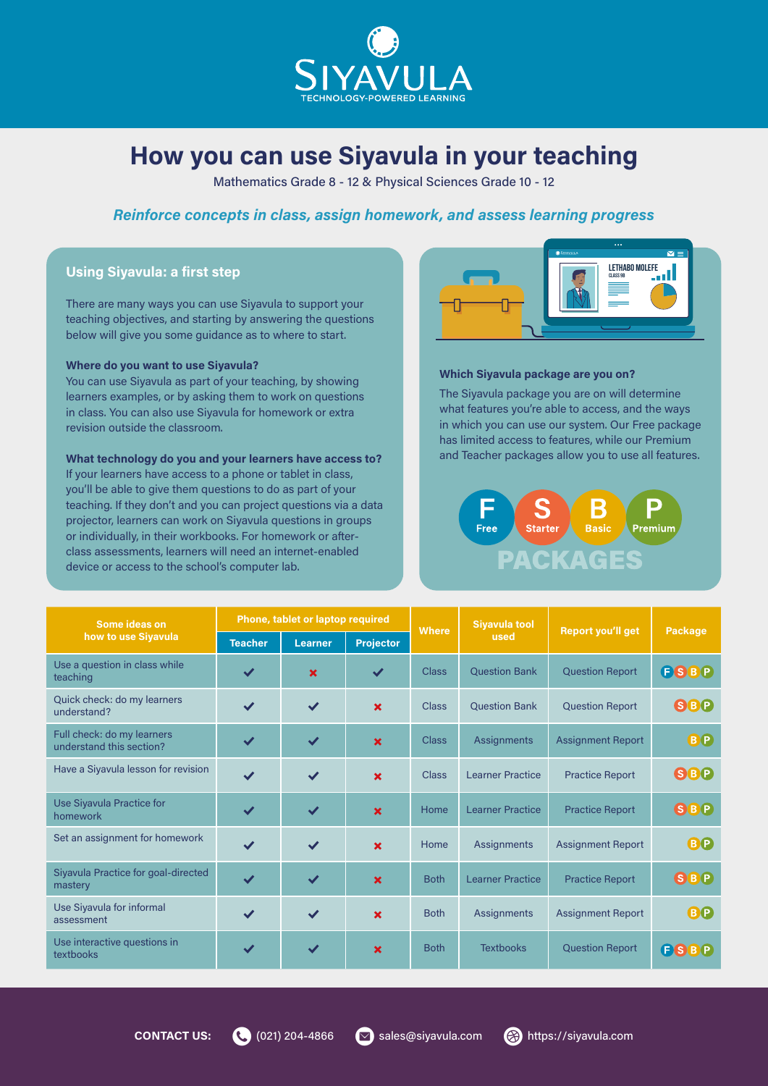

## How you can use Siyavula in your teaching

Mathematics Grade 8 - 12 & Physical Sciences Grade 10 - 12

## Reinforce concepts in class, assign homework, and assess learning progress

## Using Siyavula: a first step

There are many ways you can use Siyavula to support your teaching objectives, and starting by answering the questions below will give you some guidance as to where to start.

## Where do you want to use Siyavula?

You can use Siyavula as part of your teaching, by showing learners examples, or by asking them to work on questions in class. You can also use Siyavula for homework or extra revision outside the classroom.

## What technology do you and your learners have access to?

If your learners have access to a phone or tablet in class, you'll be able to give them questions to do as part of your teaching. If they don't and you can project questions via a data projector, learners can work on Siyavula questions in groups or individually, in their workbooks. For homework or afterclass assessments, learners will need an internet-enabled device or access to the school's computer lab.



## Which Siyavula package are you on?

The Siyavula package you are on will determine what features you're able to access, and the ways in which you can use our system. Our Free package has limited access to features, while our Premium and Teacher packages allow you to use all features.



| Some ideas on<br>how to use Siyavula                   | Phone, tablet or laptop required |                |                           | <b>Where</b> | <b>Siyavula tool</b>    |                          |             |
|--------------------------------------------------------|----------------------------------|----------------|---------------------------|--------------|-------------------------|--------------------------|-------------|
|                                                        | <b>Teacher</b>                   | <b>Learner</b> | <b>Projector</b>          |              | used                    | <b>Report you'll get</b> | Package     |
| Use a question in class while<br>teaching              | ✔                                | $\mathbf x$    | $\checkmark$              | <b>Class</b> | <b>Question Bank</b>    | <b>Question Report</b>   | <b>ESBP</b> |
| Quick check: do my learners<br>understand?             | $\checkmark$                     | $\checkmark$   | $\mathbf x$               | <b>Class</b> | <b>Question Bank</b>    | <b>Question Report</b>   | <b>SBP</b>  |
| Full check: do my learners<br>understand this section? | $\checkmark$                     | $\checkmark$   | $\boldsymbol{\mathsf{x}}$ | <b>Class</b> | <b>Assignments</b>      | <b>Assignment Report</b> | BO          |
| Have a Siyavula lesson for revision                    | $\checkmark$                     | $\checkmark$   | $\boldsymbol{\mathsf{x}}$ | <b>Class</b> | <b>Learner Practice</b> | <b>Practice Report</b>   | <b>SBP</b>  |
| Use Siyavula Practice for<br>homework                  | $\checkmark$                     | $\checkmark$   | $\boldsymbol{\mathsf{x}}$ | Home         | <b>Learner Practice</b> | <b>Practice Report</b>   | <b>SBP</b>  |
| Set an assignment for homework                         | $\checkmark$                     | $\checkmark$   | $\boldsymbol{\mathsf{x}}$ | Home         | <b>Assignments</b>      | <b>Assignment Report</b> | <b>BP</b>   |
| Siyavula Practice for goal-directed<br>mastery         | $\checkmark$                     | $\checkmark$   | $\mathbf x$               | <b>Both</b>  | <b>Learner Practice</b> | <b>Practice Report</b>   | <b>SBP</b>  |
| Use Siyavula for informal<br>assessment                | $\checkmark$                     | $\checkmark$   | $\boldsymbol{\mathsf{x}}$ | <b>Both</b>  | <b>Assignments</b>      | <b>Assignment Report</b> | <b>BP</b>   |
| Use interactive questions in<br>textbooks              | $\checkmark$                     | $\checkmark$   | $\mathbf x$               | <b>Both</b>  | <b>Textbooks</b>        | <b>Question Report</b>   | <b>ESBP</b> |